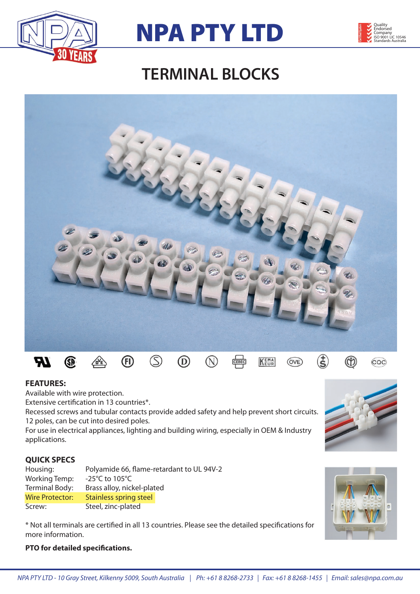





## **TERMINAL BLOCKS**



## **FEATURES:**

Available with wire protection.

Extensive certification in 13 countries\*.

Recessed screws and tubular contacts provide added safety and help prevent short circuits. 12 poles, can be cut into desired poles.

For use in electrical appliances, lighting and building wiring, especially in OEM & Industry applications.

## **QUICK SPECS**

| Housing:             | Polyamide 66, flame-retardant to UL 94V-2 |  |  |  |  |  |  |
|----------------------|-------------------------------------------|--|--|--|--|--|--|
| <b>Working Temp:</b> | -25 $^{\circ}$ C to 105 $^{\circ}$ C      |  |  |  |  |  |  |
| Terminal Body:       | Brass alloy, nickel-plated                |  |  |  |  |  |  |
| Wire Protector:      | <b>Stainless spring steel</b>             |  |  |  |  |  |  |
| Screw:               | Steel, zinc-plated                        |  |  |  |  |  |  |

\* Not all terminals are certified in all 13 countries. Please see the detailed specifications for more information.





## **PTO for detailed specifications.**